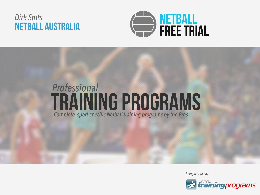# Dirk Spits<br>NETBALL AUSTRALIA



# *Professional* TRAINING PROGRAMS *Complete, sport-specific Netball training programs by the Pros*

*Brought to you by*

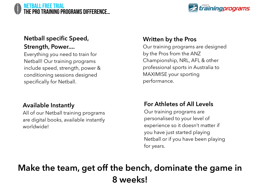#### NETBALL free trial the pro training programs difference…



## **Netball specific Speed, Strength, Power....**

Everything you need to train for Netball! Our training programs include speed, strength, power & conditioning sessions designed specifically for Netball.

## **Available Instantly**

All of our Netball training programs are digital books, available instantly worldwide!

## **Written by the Pros**

Our training programs are designed by the Pros from the ANZ Championship, NRL, AFL & other professional sports in Australia to MAXIMISE your sporting performance.

## **For Athletes of All Levels**

Our training programs are personalised to your level of experience so it doesn't matter if you have just started playing Netball or if you have been playing for years.

# **Make the team, get off the bench, dominate the game in 8 weeks!**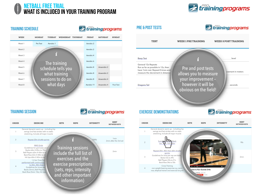



#### **TRAINING SCHEDULE**

*Erainingprograms* 

| WEEK   | <b>MONDAY</b><br><b>THURSDAY</b><br>TUESDAY<br>WEDNESDAY | <b>FRIDAY</b> | <b>SATURDAY</b> | <b>SUNDAY</b> |
|--------|----------------------------------------------------------|---------------|-----------------|---------------|
| Week 1 | Aerobic 1<br>Pre Test                                    | Aerobic 2     |                 |               |
| Week 2 |                                                          | Aerobic 2     |                 |               |
| Week 3 |                                                          | Aerobic 4     |                 |               |
| Week 4 | The training                                             | Aerobic 6     |                 |               |
| Week 5 | schedule tells you                                       | Aerobic 8     | Anaerobic 2     |               |
| Week 6 | what training                                            | Aerobic 8     | Anaerobic 2     |               |
| Week 7 | sessions to do on                                        | Aerobic 8     | Anaerobic 4     |               |
| Week 8 | what days                                                | Aerobic 11    | Anaerobic 4     | Post Test     |
|        |                                                          |               |                 |               |



#### **TRAINING SESSION**





#### **EXERCISE DEMONSTRATIONS**

*Erainingprograms* 

| ORDER          | <b>EXERCISE</b>                                                                                                                                            | <b>SETS</b> | <b>REPS</b>                                          | <b>INTENSITY</b> | <b>REST</b><br><b>BETWEEN SETS</b> |
|----------------|------------------------------------------------------------------------------------------------------------------------------------------------------------|-------------|------------------------------------------------------|------------------|------------------------------------|
|                | General dynamic warm up - including hip<br>swings and fast strides with no static<br>stretching. Include all major muscle                                  |             |                                                      |                  |                                    |
| $\overline{2}$ | Back<br>Suicid<br>5m, T<br>15m, 20m                                                                                                                        |             |                                                      |                  | 90s                                |
| 3              | Repeat 20m, 40m then 60m shuttle<br>sprints<br>Guidelines for time per rep are beloi<br>Backs 53s to 49s<br>Ball Players 55s to 51s<br>Back Row 54s to 50s |             |                                                      |                  | 2min                               |
| 4              | Cross Training<br>non weight bearing exercise e.g. swim,<br>row, elliptical trainer and exercise bicycle                                                   |             | How to Run Suicide Drills<br>weekning - 2.627 voters |                  |                                    |
|                |                                                                                                                                                            |             | 04,763                                               |                  |                                    |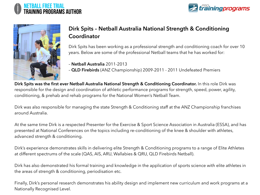





## **Dirk Spits – Netball Australia National Strength & Conditioning Coordinator**

Dirk Spits has been working as a professional strength and conditioning coach for over 10 years. Below are some of the professional Netball teams that he has worked for:

- **Netball Australia** 2011-2013
- **QLD Firebirds** (ANZ Championship) 2009-2011 2011 Undefeated Premiers

**Dirk Spits was the first ever Netball Australia National Strength & Conditioning Coordinator.** In this role Dirk was responsible for the design and coordination of athletic performance programs for strength, speed, power, agility, conditioning, & prehab and rehab programs for the National Women's Netball Team.

Dirk was also responsible for managing the state Strength & Conditioning staff at the ANZ Championship franchises around Australia.

At the same time Dirk is a respected Presenter for the Exercise & Sport Science Association in Australia (ESSA), and has presented at National Conferences on the topics including re-conditioning of the knee & shoulder with athletes, advanced strength & conditioning.

Dirk's experience demonstrates skills in delivering elite Strength & Conditioning programs to a range of Elite Athletes at different spectrums of the scale (QAS, AIS, ARU, Wallabies & QRU, QLD Firebirds Netball).

Dirk has also demonstrated his formal training and knowledge in the application of sports science with elite athletes in the areas of strength & conditioning, periodisation etc.

Finally, Dirk's personal research demonstrates his ability design and implement new curriculum and work programs at a Nationally Recognised Level.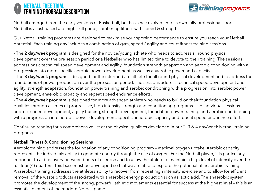#### NETBALL free trial training program description



Netball emerged from the early versions of Basketball, but has since evolved into its own fully professional sport. Netball is a fast paced and high skill game, combining fitness with speed & strength.

Our Netball training programs are designed to maximise your sporting performance to ensure you reach your Netball potential. Each training day includes a combination of gym, speed / agility and court fitness training sessions.

- The **2 day/week program** is designed for the novice/young athlete who needs to address all round physical development over the pre season period or a Netballer who has limited time to devote to their training. The sessions address basic technical speed development and agility, foundation strength adaptation and aerobic conditioning with a progression into more specific aerobic power development as well as anaerobic power and capacity.

- The **3 day/week program** is designed for the intermediate athlete for all round physical development and to address the foundations of power production over the pre season period. The sessions address technical speed development and agility, strength adaptation, foundation power training and aerobic conditioning with a progression into aerobic power development, anaerobic capacity and repeat speed endurance efforts.

- The **4 day/week program** is designed for more advanced athlete who needs to build on their foundation physical qualities through a series of progressive, high intensity strength and conditioning programs. The individual sessions address speed development, agility training, strength development, foundation power training and aerobic conditioning with a progression into aerobic power development, specific anaerobic capacity and repeat speed endurance efforts.

Continuing reading for a comprehensive list of the physical qualities developed in our 2, 3 & 4 day/week Netball training programs.

#### **Netball Fitness & Conditioning Sessions**

Aerobic training addresses the foundation of any conditioning program – maximal oxygen uptake. Aerobic capacity represents the individuals ability to generate energy through the use of oxygen. For the Netball player, it is particularly important to aid recovery between bouts of exercise and to allow the athlete to maintain a high level of intensity over the full four (4) quarters. This base must be developed so that we are able to explore the potential of anaerobic training. Anaerobic training addresses the athletes ability to recover from repeat high intensity exercise and to allow for efficient removal of the waste products associated with anaerobic energy production such as lactic acid. The anaerobic system promotes the development of the strong, powerful athletic movements essential for success at the highest level – this is an essential element of the modern Netball game.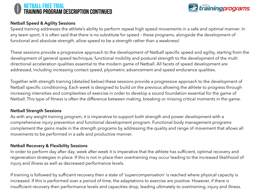#### NETBALL free trial training program description CONTINUED



#### **Netball Speed & Agility Sessions**

Speed training addresses the athlete's ability to perform repeat high speed movements in a safe and optimal manner. In any team sport, it is often said that there is no substitute for speed – these programs, alongside the development of functional and absolute strength, allow speed to be a strength rather than a weakness!

These sessions provide a progressive approach to the development of Netball specific speed and agility, starting from the development of general speed technique, functional mobility and postural strength to the development of the multi directional acceleration qualities essential to the modern game of Netball. All facets of speed development are addressed, including increasing contact speed, plyometric advancement and speed endurance qualities.

Together with strength training (detailed below) these sessions provide a progressive approach to the development of Netball specific conditioning. Each week is designed to build on the previous allowing the athlete to progress through increasing intensities and complexities of exercise in order to develop a sound foundation essential for the game of Netball. This type of fitness is often the difference between making, breaking or missing critical moments in the game.

#### **Netball Strength Sessions**

As with any weight training program, it is imperative to support both strength and power development with a comprehensive injury prevention and functional development program. Functional body management programs complement the gains made in the strength programs by addressing the quality and range of movement that allows all movements to be performed in a safe and productive manner.

#### **Netball Recovery & Flexibility Sessions**

In order to perform day after day, week after week it is imperative that the athlete has sufficient, optimal recovery and regeneration strategies in place. If this is not in place then overtraining may occur leading to the increased likelihood of injury and illness as well as decreased performance levels.

If training is followed by sufficient recovery then a state of 'supercompensation' is reached where physical capacity is increased. If this is performed over a period of time, the adaptations to exercise are positive. However, if there is insufficient recovery then performance levels and capacities drop, leading ultimately to overtraining, injury and illness.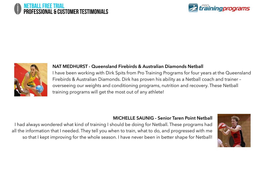#### NETBALL free trial professional & customer testimonials





#### **NAT MEDHURST - Queensland Firebirds & Australian Diamonds Netball**

I have been working with Dirk Spits from Pro Training Programs for four years at the Queensland Firebirds & Australian Diamonds. Dirk has proven his ability as a Netball coach and trainer – overseeing our weights and conditioning programs, nutrition and recovery. These Netball training programs will get the most out of any athlete!

#### **MICHELLE SAUNIG - Senior Taren Point Netball**

I had always wondered what kind of training I should be doing for Netball. These programs had all the information that I needed. They tell you when to train, what to do, and progressed with me so that I kept improving for the whole season. I have never been in better shape for Netball!

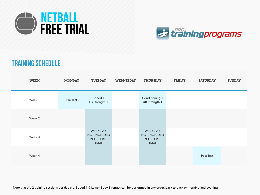



# TRAINING SCHEDULE

| <b>WEEK</b> | <b>MONDAY</b> | <b>TUESDAY</b>                                           | <b>WEDNESDAY</b> | <b>THURSDAY</b>                                                 | <b>FRIDAY</b> | <b>SATURDAY</b> | <b>SUNDAY</b> |
|-------------|---------------|----------------------------------------------------------|------------------|-----------------------------------------------------------------|---------------|-----------------|---------------|
| Week 1      | Pre Test      | Speed 1<br>LB Strength 1                                 |                  | <b>Conditioning 1</b><br><b>UB Strength 1</b>                   |               |                 |               |
| Week 2      |               |                                                          |                  |                                                                 |               |                 |               |
| Week 3      |               | WEEKS 2-4<br>NOT INCLUDED<br>IN THE FREE<br><b>TRIAL</b> |                  | WEEKS 2-4<br><b>NOT INCLUDED</b><br>IN THE FREE<br><b>TRIAL</b> |               |                 |               |
| Week 4      |               |                                                          |                  |                                                                 |               | Post Test       |               |

Note that the 2 training sessions per day e.g. Speed 1 & Lower Body Strength can be performed in any order, back to back or morning and evening.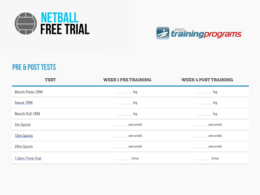



# pre & post tests

| <b>TEST</b>            | <b>WEEK1PRE TRAINING</b> | <b>WEEK 4 POST TRAINING</b> |
|------------------------|--------------------------|-----------------------------|
| <b>Bench Press 1RM</b> | kg                       | kg                          |
| Squat 1RM              | kg                       | kg                          |
| <b>Bench Pull 1RM</b>  | kg                       | kg                          |
| 5m Sprint              | seconds                  | seconds                     |
| 10 <sub>m</sub> Sprint | seconds                  | seconds                     |
| 20m Sprint             | seconds                  | seconds                     |
| 1.6km Time Trial       | time                     | time                        |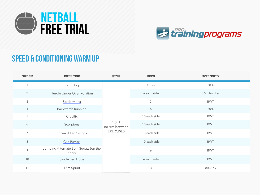



# speed & conditioning warm up

| <b>ORDER</b>   | <b>EXERCISE</b>                                 | <b>SETS</b>                                  | <b>REPS</b>      | <b>INTENSITY</b> |
|----------------|-------------------------------------------------|----------------------------------------------|------------------|------------------|
| $\overline{1}$ | Light Jog                                       |                                              | 3 mins           | 60%              |
| $\overline{2}$ | Hurdle Under Over Rotation                      |                                              | 6 each side      | 0.5m hurdles     |
| $\mathfrak{Z}$ | Spidermans                                      |                                              | $\mathfrak{Z}$   | <b>BWT</b>       |
| $\overline{4}$ | <b>Backwards Running</b>                        |                                              | 5                | 60%              |
| 5              | Crucifix                                        | 1 SET<br>no rest between<br><b>EXERCISES</b> | 10 each side     | <b>BWT</b>       |
| 6              | Scorpions                                       |                                              | 10 each side     | <b>BWT</b>       |
| $\overline{7}$ | Forward Leg Swings                              |                                              | 10 each side     | <b>BWT</b>       |
| $8\,$          | <b>Calf Pumps</b>                               |                                              | 10 each side     | <b>BWT</b>       |
| 9              | Jumping Alternate Split Squats (on the<br>spot) |                                              | $\boldsymbol{6}$ | <b>BWT</b>       |
| 10             | Single Leg Hops                                 |                                              | 4 each side      | <b>BWT</b>       |
| 11             | 15m Sprint                                      |                                              | 3                | 80-90%           |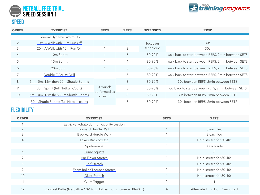



| <b>ORDER</b>   | <b>EXERCISE</b>                          | <b>SETS</b>               | <b>REPS</b>    | <b>INTENSITY</b> | <b>REST</b>                                        |
|----------------|------------------------------------------|---------------------------|----------------|------------------|----------------------------------------------------|
|                | General Dynamic Warm-Up                  |                           |                |                  |                                                    |
| $\overline{2}$ | 10m A Walk with 10m Run Off              |                           | $\mathcal{S}$  | focus on         | 30s                                                |
| 3              | 20m A Walk with 10m Run Off              |                           | 3              | technique        | 30s                                                |
| $\overline{4}$ | 10 <sub>m</sub> Sprint                   |                           | 5              | 80-90%           | walk back to start between REPS, 2min between SETS |
| 5              | 15m Sprint                               |                           | $\overline{4}$ | 80-90%           | walk back to start between REPS, 2min between SETS |
| 6              | 20m Sprint                               |                           | 3              | 80-90%           | walk back to start between REPS, 2min between SETS |
| $\overline{7}$ | Double Z Agility Drill                   |                           | 5              | 80-90%           | walk back to start between REPS, 2min between SETS |
| $8\,$          | 5m, 10m, 15m then 20m Shuttle Sprints    |                           | 3              | 80-90%           | 30s between REPS, 2min between SETS                |
| 9              | 30m Sprint (full Netball Court)          | 3 rounds                  | 3              | 80-90%           | jog back to start between REPS, 2min between SETS  |
| 10             | 5m, 10m, 15m then 20m Shuttle Sprints    | performed as<br>a circuit | 3              | 80-90%           | 30s between REPS, 2min between SETS                |
| 11             | 30m Shuttle Sprints (full Netball court) |                           | 3              | 80-90%           | 30s between REPS, 2min between SETS                |

## **FLEXIBILITY**

| <b>ORDER</b>   | <b>EXERCISE</b>                                                       | <b>SETS</b>    | <b>REPS</b>                     |
|----------------|-----------------------------------------------------------------------|----------------|---------------------------------|
|                | Eat & Rehydrate during flexibility session                            |                |                                 |
|                | Forward Hurdle Walk                                                   |                | 8 each leg                      |
| 3              | <b>Backward Hurdle Walk</b>                                           |                | 8 each leg                      |
| $\overline{4}$ | Lower Back Stretch                                                    |                | Hold stretch for 30-40s         |
| 5              | Spidermans                                                            |                | 3 each side                     |
| 6              | Sumo Squats                                                           |                | 8                               |
|                | <b>Hip Flexor Stretch</b>                                             |                | Hold stretch for 30-40s         |
| 8              | Calf Stretch                                                          |                | Hold stretch for 30-40s         |
| 9              | Foam Roller Thoracic Stretch                                          |                | Hold stretch for 30-40s         |
| 10             | Glute Stretch                                                         |                | Hold stretch for 30-40s         |
| 11             | <b>Glute Trigger</b>                                                  |                |                                 |
| 12             | Contrast Baths (Ice bath = $10-14$ C, Hot bath or shower = $38-40$ C) | $\overline{4}$ | Alternate 1 min Hot: 1 min Cold |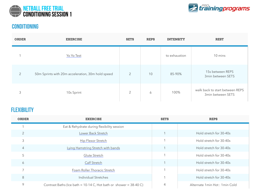



#### conditioning

| <b>ORDER</b>   | <b>EXERCISE</b>                                   | <b>SETS</b>    | <b>REPS</b> | <b>INTENSITY</b> | <b>REST</b>                                          |
|----------------|---------------------------------------------------|----------------|-------------|------------------|------------------------------------------------------|
|                | Yo Yo Test                                        |                |             | to exhaustion    | 10 mins                                              |
| $\overline{2}$ | 50m Sprints with 20m acceleration, 30m hold speed | $\overline{2}$ | 10          | 85-90%           | 15s between REPS<br>3min between SETS                |
| 3              | 10s Sprint                                        | $\overline{2}$ | 6           | 100%             | walk back to start between REPS<br>3min between SETS |

#### **FLEXIBILITY**

| <b>ORDER</b>   | <b>EXERCISE</b>                                                       | <b>SETS</b> | <b>REPS</b>                     |
|----------------|-----------------------------------------------------------------------|-------------|---------------------------------|
|                | Eat & Rehydrate during flexibility session                            |             |                                 |
| $\overline{2}$ | Lower Back Stretch                                                    |             | Hold stretch for 30-40s         |
| 3              | <b>Hip Flexor Stretch</b>                                             |             | Hold stretch for 30-40s         |
| $\overline{4}$ | Lying Hamstring Stretch with bands                                    |             | Hold stretch for 30-40s         |
| 5              | Glute Stretch                                                         |             | Hold stretch for 30-40s         |
| 6              | Calf Stretch                                                          |             | Hold stretch for 30-40s         |
|                | Foam Roller Thoracic Stretch                                          |             | Hold stretch for 30-40s         |
| 8              | Individual Stretches                                                  |             | Hold stretch for 30-40s         |
| 9              | Contrast Baths (Ice bath = $10-14$ C, Hot bath or shower = $38-40$ C) | 4           | Alternate 1 min Hot: 1 min Cold |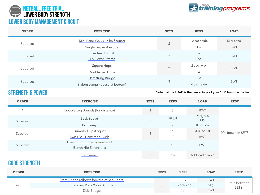



| <b>ORDER</b> | <b>EXERCISE</b>                 | <b>SETS</b>    | <b>REPS</b>  | <b>LOAD</b> |  |
|--------------|---------------------------------|----------------|--------------|-------------|--|
| Superset     | Mini Band Walks (in half squat) | $\overline{2}$ | 10 each side | Mini band   |  |
|              | Single Leg Arabesque            |                | 15s          | <b>BWT</b>  |  |
|              | Overhead Squat                  | $\bigcirc$     | 6            | <b>BWT</b>  |  |
| Superset     | <b>Hip Flexor Stretch</b>       |                | 20s          |             |  |
| Superset     | <b>Square Hops</b>              | $\overline{2}$ | 2 each way   | <b>BWT</b>  |  |
|              | Double Leg Hops                 |                | 4            |             |  |
|              | <b>Hamstring Bridge</b>         |                | 10           |             |  |
| Superset     | Slalom Jumps (pause at bottom)  | 3              | 4 each side  | <b>BWT</b>  |  |

## strength & power

Note that the LOAD is the percentage of your 1RM from the Pre Test

| <b>ORDER</b> | <b>EXERCISE</b>                                              | <b>SETS</b> | <b>REPS</b>    | <b>LOAD</b>      | <b>REST</b>      |
|--------------|--------------------------------------------------------------|-------------|----------------|------------------|------------------|
|              | Double Leg Bounds (for distance)                             | 3           | 3              | <b>BWT</b>       |                  |
| Superset     | <b>Back Squats</b>                                           | 3           | 10, 8, 8       | 75%,79%<br>79%   |                  |
|              | Box Jump                                                     |             | $\overline{2}$ | $0.5m$ box       |                  |
| Superset     | Dumbbell Split Squat                                         | 3           | 6              | 33% Squat        | 90s between SETS |
|              | <b>Swiss Ball Hamstring Curls</b>                            |             | 10             | <b>BWT</b>       |                  |
| Superset     | Hamstring Bridge against wall<br><b>Bench Hip Extensions</b> | 3           | 10             | <b>BWT</b>       |                  |
| 5            | <b>Calf Raises</b>                                           | 3           | max            | Add load as able |                  |

### core strength

| <b>ORDER</b> | <b>EXERCISE</b>                            | <b>SETS</b> | <b>REPS</b> | <b>LOAD</b> | <b>REST</b>   |
|--------------|--------------------------------------------|-------------|-------------|-------------|---------------|
|              | Front Bridge (elbows forward of shoulders) |             | 30s         | <b>BWT</b>  | 1 min between |
| Circuit      | <b>Standing Plate Wood Chops</b>           |             | 8 each side | 5kg         | <b>SETS</b>   |
|              | Side Bridge                                |             | 30s         | <b>BWT</b>  |               |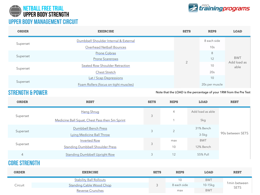



| <b>ORDER</b> | <b>EXERCISE</b>                       | <b>SETS</b> | <b>REPS</b>     | <b>LOAD</b>                       |
|--------------|---------------------------------------|-------------|-----------------|-----------------------------------|
| Superset     | Dumbbell Shoulder Internal & External | $\bigcirc$  | 8 each side     | <b>BWT</b><br>Add load as<br>able |
|              | Overhead Netball Bounces              |             | 10 <sub>s</sub> |                                   |
|              | Prone Cobras                          |             | 8               |                                   |
| Superset     | <b>Prone Scarerows</b>                |             | 12              |                                   |
| Superset     | Seated Row Shoulder Retraction        |             | 10              |                                   |
|              | <b>Chest Stretch</b>                  |             | 20s             |                                   |
|              | Lat / Scap Depressions                |             | 10              |                                   |
| Superset     | Foam Rollers (focus on tight muscles) |             | 20s per muscle  |                                   |

#### strength & power

Note that the LOAD is the percentage of your 1RM from the Pre Test

| <b>ORDER</b>   | <b>REST</b>                                    | <b>SETS</b> | <b>REPS</b>    | <b>LOAD</b>      | <b>REST</b>      |  |
|----------------|------------------------------------------------|-------------|----------------|------------------|------------------|--|
| Superset       | <b>Hang Shrug</b>                              | 3           | 4              | Add load as able | 90s between SETS |  |
|                | Medicine Ball Squat, Chest Pass then 5m Sprint |             |                | 5kg              |                  |  |
| Superset       | Dumbbell Bench Press                           | 3           | $\overline{2}$ | 31% Bench        |                  |  |
|                | Lying Medicine Ball Throw                      |             |                | $3-5kg$          |                  |  |
| Superset       | Inverted Row                                   | 3           | max            | <b>BWT</b>       |                  |  |
|                | <b>Standing Dumbbell Shoulder Press</b>        |             | 10             | 12% Bench        |                  |  |
| $\overline{4}$ | <b>Standing Dumbbell Upright Row</b>           | 3           | 12             | 55% Pull         |                  |  |

core strength

| <b>ORDER</b> | <b>EXERCISE</b>                | <b>SETS</b> | <b>REPS</b> | <b>LOAD</b> | <b>REST</b>                 |
|--------------|--------------------------------|-------------|-------------|-------------|-----------------------------|
| Circuit      | <b>Stability Ball Rollouts</b> |             | 10          | <b>BWT</b>  | 1min between<br><b>SETS</b> |
|              | Standing Cable Wood Chop       |             | 8 each side | $10-15kg$   |                             |
|              | <b>Reverse Crunches</b>        |             | max         | <b>BWT</b>  |                             |